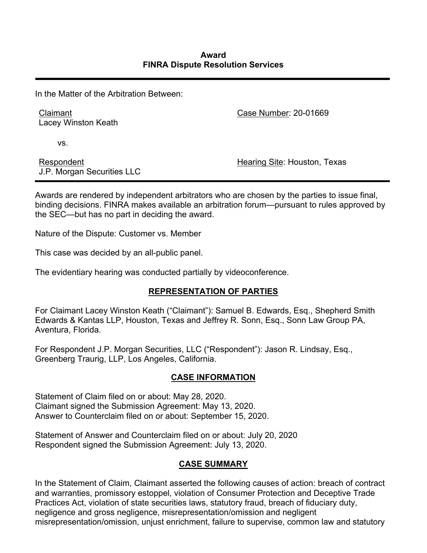In the Matter of the Arbitration Between:

Claimant Lacey Winston Keath Case Number: 20-01669

vs.

Respondent J.P. Morgan Securities LLC Hearing Site: Houston, Texas

Awards are rendered by independent arbitrators who are chosen by the parties to issue final, binding decisions. FINRA makes available an arbitration forum—pursuant to rules approved by the SEC—but has no part in deciding the award.

Nature of the Dispute: Customer vs. Member

This case was decided by an all-public panel.

The evidentiary hearing was conducted partially by videoconference.

# **REPRESENTATION OF PARTIES**

For Claimant Lacey Winston Keath ("Claimant"): Samuel B. Edwards, Esq., Shepherd Smith Edwards & Kantas LLP, Houston, Texas and Jeffrey R. Sonn, Esq., Sonn Law Group PA, Aventura, Florida.

For Respondent J.P. Morgan Securities, LLC ("Respondent"): Jason R. Lindsay, Esq., Greenberg Traurig, LLP, Los Angeles, California.

## **CASE INFORMATION**

Statement of Claim filed on or about: May 28, 2020. Claimant signed the Submission Agreement: May 13, 2020. Answer to Counterclaim filed on or about: September 15, 2020.

Statement of Answer and Counterclaim filed on or about: July 20, 2020 Respondent signed the Submission Agreement: July 13, 2020.

# **CASE SUMMARY**

In the Statement of Claim, Claimant asserted the following causes of action: breach of contract and warranties, promissory estoppel, violation of Consumer Protection and Deceptive Trade Practices Act, violation of state securities laws, statutory fraud, breach of fiduciary duty, negligence and gross negligence, misrepresentation/omission and negligent misrepresentation/omission, unjust enrichment, failure to supervise, common law and statutory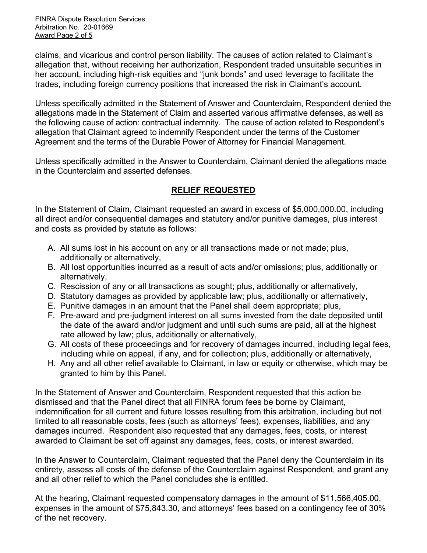FINRA Dispute Resolution Services Arbitration No. 20-01669 Award Page 2 of 5

claims, and vicarious and control person liability. The causes of action related to Claimant's allegation that, without receiving her authorization, Respondent traded unsuitable securities in her account, including high-risk equities and "junk bonds" and used leverage to facilitate the trades, including foreign currency positions that increased the risk in Claimant's account.

Unless specifically admitted in the Statement of Answer and Counterclaim, Respondent denied the allegations made in the Statement of Claim and asserted various affirmative defenses, as well as the following cause of action: contractual indemnity. The cause of action related to Respondent's allegation that Claimant agreed to indemnify Respondent under the terms of the Customer Agreement and the terms of the Durable Power of Attorney for Financial Management.

Unless specifically admitted in the Answer to Counterclaim, Claimant denied the allegations made in the Counterclaim and asserted defenses.

# **RELIEF REQUESTED**

In the Statement of Claim, Claimant requested an award in excess of \$5,000,000.00, including all direct and/or consequential damages and statutory and/or punitive damages, plus interest and costs as provided by statute as follows:

- A. All sums lost in his account on any or all transactions made or not made; plus, additionally or alternatively,
- B. All lost opportunities incurred as a result of acts and/or omissions; plus, additionally or alternatively,
- C. Rescission of any or all transactions as sought; plus, additionally or alternatively,
- D. Statutory damages as provided by applicable law; plus, additionally or alternatively,
- E. Punitive damages in an amount that the Panel shall deem appropriate; plus,
- F. Pre-award and pre-judgment interest on all sums invested from the date deposited until the date of the award and/or judgment and until such sums are paid, all at the highest rate allowed by law; plus, additionally or alternatively,
- G. All costs of these proceedings and for recovery of damages incurred, including legal fees, including while on appeal, if any, and for collection; plus, additionally or alternatively,
- H. Any and all other relief available to Claimant, in law or equity or otherwise, which may be granted to him by this Panel.

In the Statement of Answer and Counterclaim, Respondent requested that this action be dismissed and that the Panel direct that all FINRA forum fees be borne by Claimant, indemnification for all current and future losses resulting from this arbitration, including but not limited to all reasonable costs, fees (such as attorneys' fees), expenses, liabilities, and any damages incurred. Respondent also requested that any damages, fees, costs, or interest awarded to Claimant be set off against any damages, fees, costs, or interest awarded.

In the Answer to Counterclaim, Claimant requested that the Panel deny the Counterclaim in its entirety, assess all costs of the defense of the Counterclaim against Respondent, and grant any and all other relief to which the Panel concludes she is entitled.

At the hearing, Claimant requested compensatory damages in the amount of \$11,566,405.00, expenses in the amount of \$75,843.30, and attorneys' fees based on a contingency fee of 30% of the net recovery.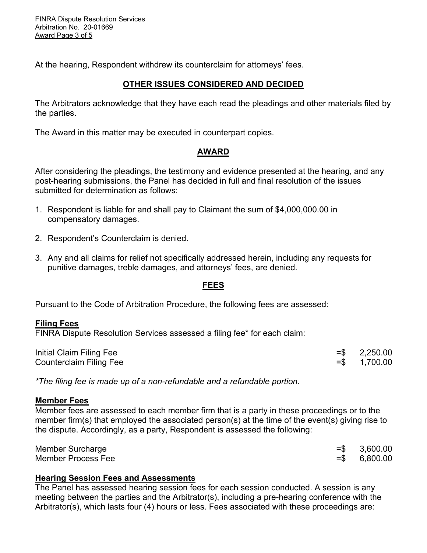FINRA Dispute Resolution Services Arbitration No. 20-01669 Award Page 3 of 5

At the hearing, Respondent withdrew its counterclaim for attorneys' fees.

## **OTHER ISSUES CONSIDERED AND DECIDED**

The Arbitrators acknowledge that they have each read the pleadings and other materials filed by the parties.

The Award in this matter may be executed in counterpart copies.

## **AWARD**

After considering the pleadings, the testimony and evidence presented at the hearing, and any post-hearing submissions, the Panel has decided in full and final resolution of the issues submitted for determination as follows:

- 1. Respondent is liable for and shall pay to Claimant the sum of \$4,000,000.00 in compensatory damages.
- 2. Respondent's Counterclaim is denied.
- 3. Any and all claims for relief not specifically addressed herein, including any requests for punitive damages, treble damages, and attorneys' fees, are denied.

## **FEES**

Pursuant to the Code of Arbitration Procedure, the following fees are assessed:

#### **Filing Fees**

FINRA Dispute Resolution Services assessed a filing fee\* for each claim:

| Initial Claim Filing Fee       | $=$ \$ 2,250.00 |
|--------------------------------|-----------------|
| <b>Counterclaim Filing Fee</b> | $=$ \$ 1,700.00 |

*\*The filing fee is made up of a non-refundable and a refundable portion.*

#### **Member Fees**

Member fees are assessed to each member firm that is a party in these proceedings or to the member firm(s) that employed the associated person(s) at the time of the event(s) giving rise to the dispute. Accordingly, as a party, Respondent is assessed the following:

| Member Surcharge   | $= $ 3,600.00$  |
|--------------------|-----------------|
| Member Process Fee | $=$ \$ 6,800.00 |

## **Hearing Session Fees and Assessments**

The Panel has assessed hearing session fees for each session conducted. A session is any meeting between the parties and the Arbitrator(s), including a pre-hearing conference with the Arbitrator(s), which lasts four (4) hours or less. Fees associated with these proceedings are: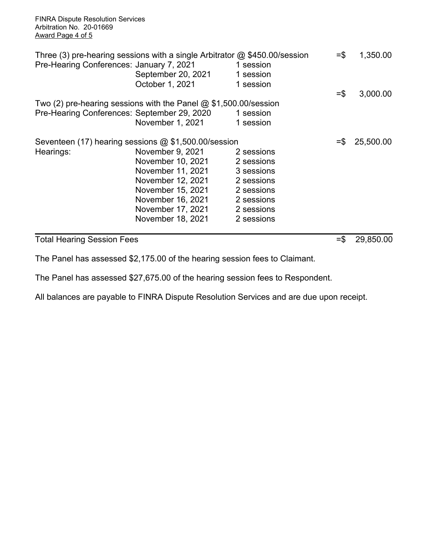FINRA Dispute Resolution Services Arbitration No. 20-01669 Award Page 4 of 5

| Pre-Hearing Conferences: January 7, 2021    | Three (3) pre-hearing sessions with a single Arbitrator $\omega$ \$450.00/session<br>September 20, 2021<br>October 1, 2021 | 1 session<br>1 session<br>1 session | $=$ $\frac{2}{3}$ | 1,350.00  |
|---------------------------------------------|----------------------------------------------------------------------------------------------------------------------------|-------------------------------------|-------------------|-----------|
|                                             |                                                                                                                            |                                     | $=$ \$            | 3,000.00  |
|                                             | Two (2) pre-hearing sessions with the Panel $@$ \$1,500.00/session                                                         |                                     |                   |           |
| Pre-Hearing Conferences: September 29, 2020 |                                                                                                                            | 1 session                           |                   |           |
|                                             | November 1, 2021                                                                                                           | 1 session                           |                   |           |
|                                             | Seventeen (17) hearing sessions $@$ \$1,500.00/session                                                                     |                                     | $=$ $\frac{1}{2}$ | 25,500.00 |
| Hearings:                                   | November 9, 2021                                                                                                           | 2 sessions                          |                   |           |
|                                             | November 10, 2021                                                                                                          | 2 sessions                          |                   |           |
|                                             | November 11, 2021                                                                                                          | 3 sessions                          |                   |           |
|                                             | November 12, 2021                                                                                                          | 2 sessions                          |                   |           |
|                                             | November 15, 2021                                                                                                          | 2 sessions                          |                   |           |
|                                             | November 16, 2021                                                                                                          | 2 sessions                          |                   |           |
|                                             | November 17, 2021                                                                                                          | 2 sessions                          |                   |           |
|                                             | November 18, 2021                                                                                                          | 2 sessions                          |                   |           |
|                                             |                                                                                                                            |                                     |                   |           |

Total Hearing Session Fees  $= $ 29,850.00$ 

The Panel has assessed \$2,175.00 of the hearing session fees to Claimant.

The Panel has assessed \$27,675.00 of the hearing session fees to Respondent.

All balances are payable to FINRA Dispute Resolution Services and are due upon receipt.